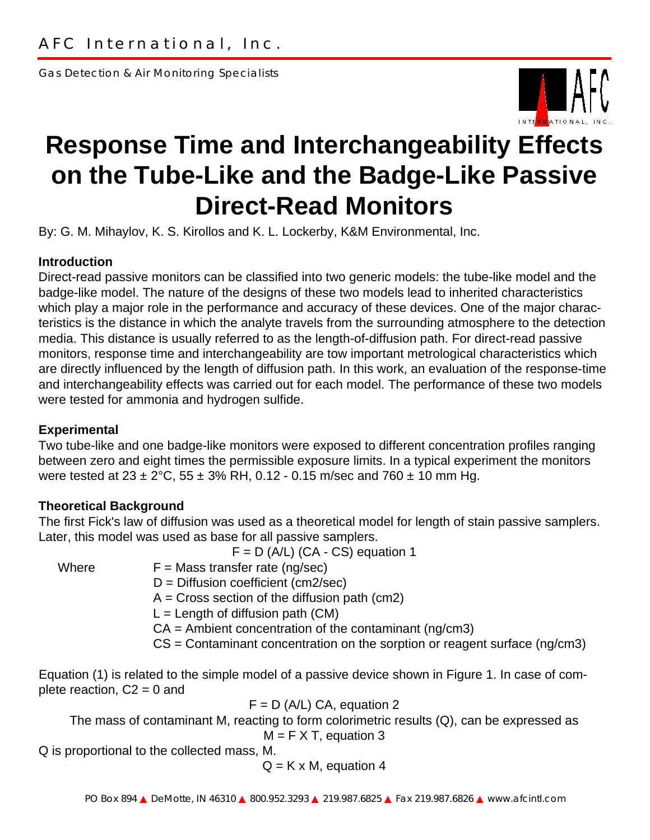Gas Detection & Air Monitoring Specialists



# **Response Time and Interchangeability Effects on the Tube-Like and the Badge-Like Passive Direct-Read Monitors**

By: G. M. Mihaylov, K. S. Kirollos and K. L. Lockerby, K&M Environmental, Inc.

## **Introduction**

Direct-read passive monitors can be classified into two generic models: the tube-like model and the badge-like model. The nature of the designs of these two models lead to inherited characteristics which play a major role in the performance and accuracy of these devices. One of the major characteristics is the distance in which the analyte travels from the surrounding atmosphere to the detection media. This distance is usually referred to as the length-of-diffusion path. For direct-read passive monitors, response time and interchangeability are tow important metrological characteristics which are directly influenced by the length of diffusion path. In this work, an evaluation of the response-time and interchangeability effects was carried out for each model. The performance of these two models were tested for ammonia and hydrogen sulfide.

#### **Experimental**

Two tube-like and one badge-like monitors were exposed to different concentration profiles ranging between zero and eight times the permissible exposure limits. In a typical experiment the monitors were tested at  $23 \pm 2^{\circ}$ C, 55  $\pm 3\%$  RH, 0.12 - 0.15 m/sec and 760  $\pm$  10 mm Hg.

## **Theoretical Background**

The first Fick's law of diffusion was used as a theoretical model for length of stain passive samplers. Later, this model was used as base for all passive samplers.

 $F = D (A/L) (CA - CS)$  equation 1

Where  $F =$  Mass transfer rate (ng/sec)

D = Diffusion coefficient (cm2/sec)

 $A = Cross section$  of the diffusion path (cm2)

 $L =$  Length of diffusion path (CM)

 $CA =$  Ambient concentration of the contaminant (ng/cm3)

CS = Contaminant concentration on the sorption or reagent surface (ng/cm3)

Equation (1) is related to the simple model of a passive device shown in Figure 1. In case of complete reaction,  $C2 = 0$  and

 $F = D$  (A/L) CA, equation 2

The mass of contaminant M, reacting to form colorimetric results (Q), can be expressed as  $M = F X T$ , equation 3

Q is proportional to the collected mass, M.

 $Q = K \times M$ , equation 4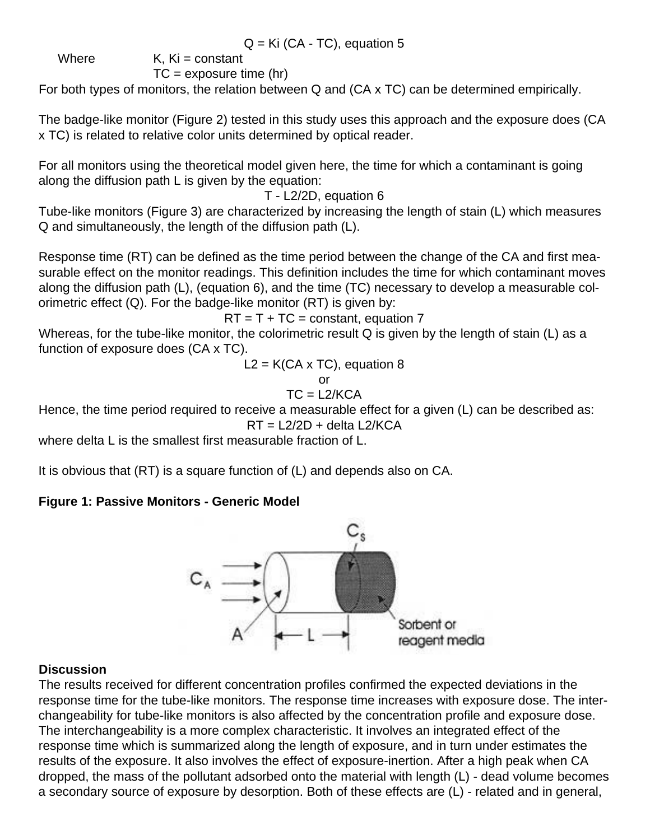$Q = Ki (CA - TC)$ , equation 5

Where  $K$ ,  $Ki = constant$ 

 $TC =$  exposure time (hr)

For both types of monitors, the relation between Q and (CA x TC) can be determined empirically.

The badge-like monitor (Figure 2) tested in this study uses this approach and the exposure does (CA x TC) is related to relative color units determined by optical reader.

For all monitors using the theoretical model given here, the time for which a contaminant is going along the diffusion path L is given by the equation:

T - L2/2D, equation 6

Tube-like monitors (Figure 3) are characterized by increasing the length of stain (L) which measures Q and simultaneously, the length of the diffusion path (L).

Response time (RT) can be defined as the time period between the change of the CA and first measurable effect on the monitor readings. This definition includes the time for which contaminant moves along the diffusion path (L), (equation 6), and the time (TC) necessary to develop a measurable colorimetric effect  $(Q)$ . For the badge-like monitor  $(RT)$  is given by:

 $RT = T + TC = constant$ , equation 7

Whereas, for the tube-like monitor, the colorimetric result Q is given by the length of stain (L) as a function of exposure does (CA x TC).

 $L2 = K(CA \times TC)$ , equation 8

or

 $TC = L2/KCA$ 

Hence, the time period required to receive a measurable effect for a given (L) can be described as:  $RT = L2/2D +$  delta  $L2/KCA$ 

where delta L is the smallest first measurable fraction of L.

It is obvious that (RT) is a square function of (L) and depends also on CA.

# **Figure 1: Passive Monitors - Generic Model**



# **Discussion**

The results received for different concentration profiles confirmed the expected deviations in the response time for the tube-like monitors. The response time increases with exposure dose. The interchangeability for tube-like monitors is also affected by the concentration profile and exposure dose. The interchangeability is a more complex characteristic. It involves an integrated effect of the response time which is summarized along the length of exposure, and in turn under estimates the results of the exposure. It also involves the effect of exposure-inertion. After a high peak when CA dropped, the mass of the pollutant adsorbed onto the material with length (L) - dead volume becomes a secondary source of exposure by desorption. Both of these effects are (L) - related and in general,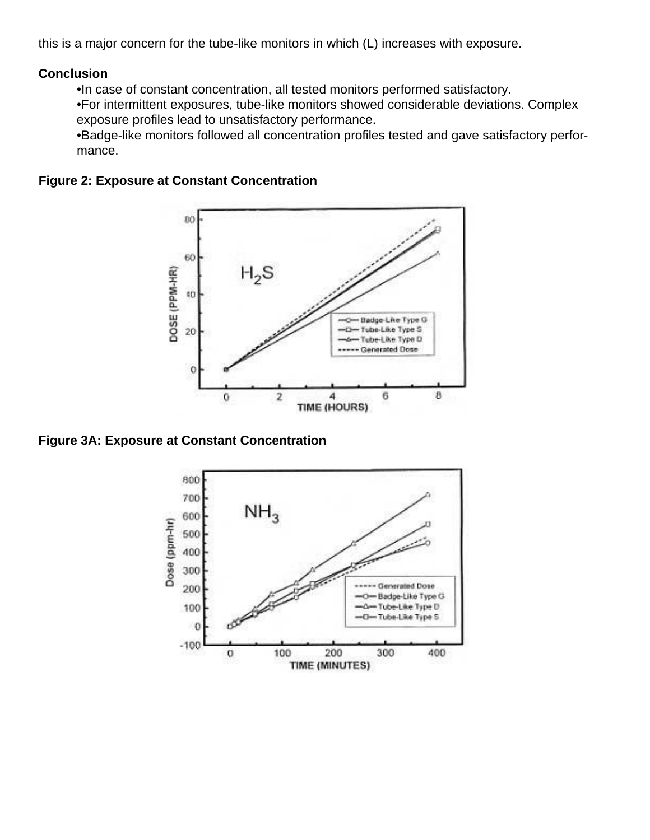this is a major concern for the tube-like monitors in which (L) increases with exposure.

#### **Conclusion**

•In case of constant concentration, all tested monitors performed satisfactory.

•For intermittent exposures, tube-like monitors showed considerable deviations. Complex exposure profiles lead to unsatisfactory performance.

•Badge-like monitors followed all concentration profiles tested and gave satisfactory performance.

#### **Figure 2: Exposure at Constant Concentration**



**Figure 3A: Exposure at Constant Concentration**

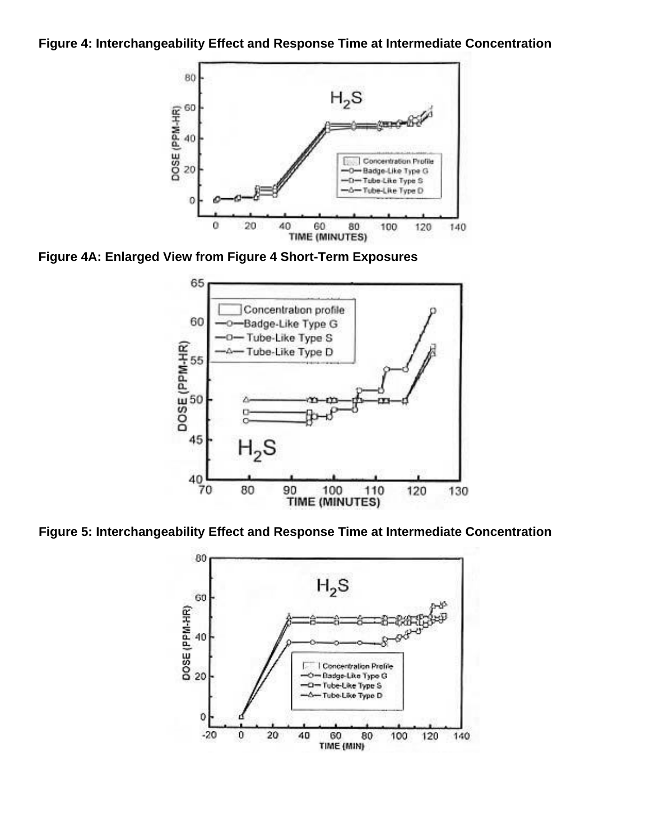#### **Figure 4: Interchangeability Effect and Response Time at Intermediate Concentration**



**Figure 4A: Enlarged View from Figure 4 Short-Term Exposures**



**Figure 5: Interchangeability Effect and Response Time at Intermediate Concentration**

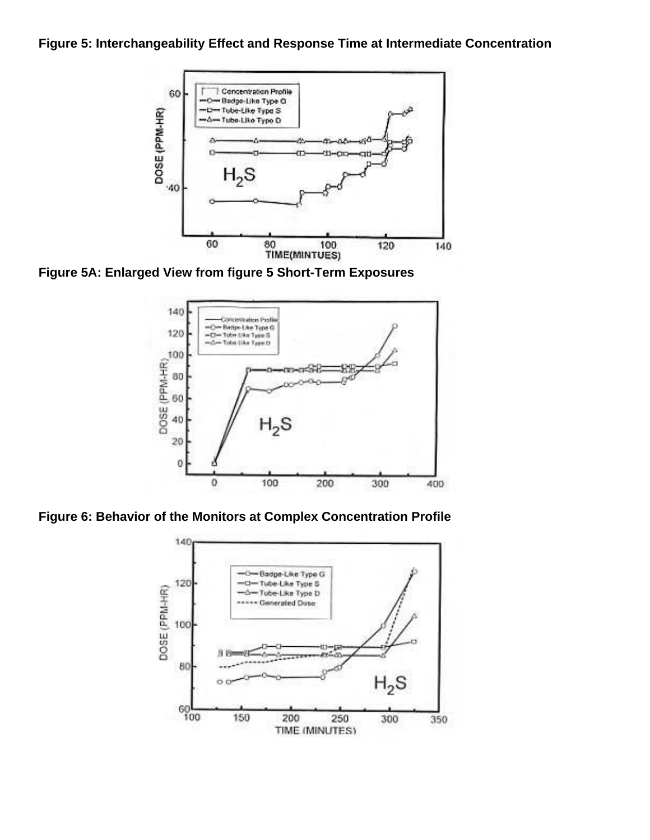## **Figure 5: Interchangeability Effect and Response Time at Intermediate Concentration**



**Figure 5A: Enlarged View from figure 5 Short-Term Exposures**



**Figure 6: Behavior of the Monitors at Complex Concentration Profile**